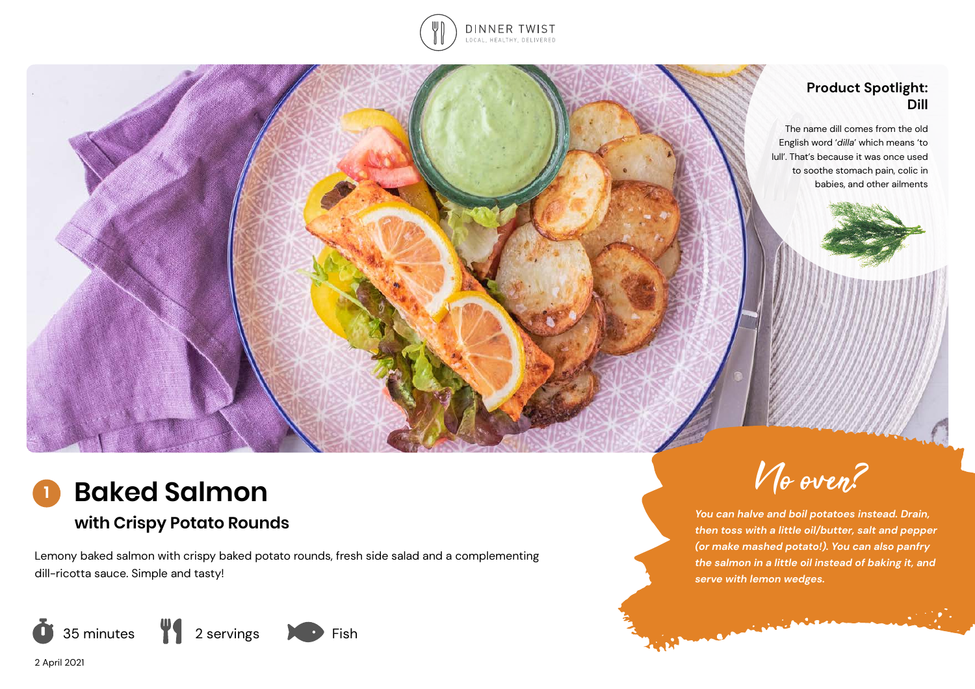

### **Product Spotlight: Dill**

The name dill comes from the old English word '*dilla*' which means 'to lull'. That's because it was once used to soothe stomach pain, colic in babies, and other ailments

### **Baked Salmon 1**

# **with Crispy Potato Rounds**

Lemony baked salmon with crispy baked potato rounds, fresh side salad and a complementing dill-ricotta sauce. Simple and tasty!



2 April 2021



*You can halve and boil potatoes instead. Drain, then toss with a little oil/butter, salt and pepper (or make mashed potato!). You can also panfry the salmon in a little oil instead of baking it, and serve with lemon wedges.* 

**MARIA MARIAN**